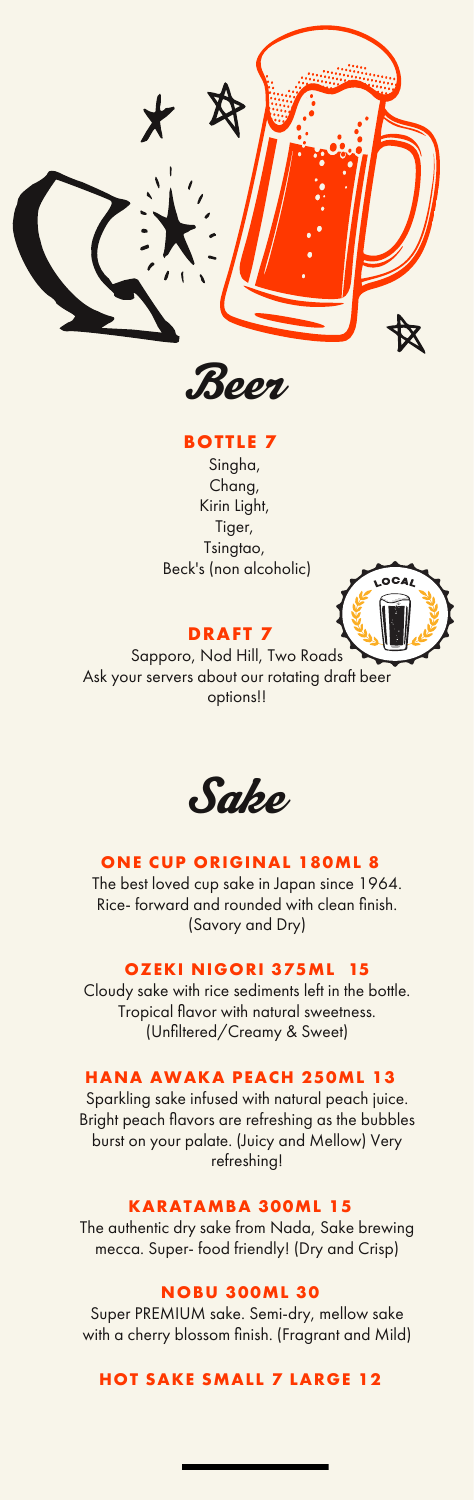

Beer

# **BOTTLE 7**

Singha, Chang, Kirin Light, Tiger, Tsingtao, Beck's (non alcoholic)



# **DRAFT 7**

Sapporo, Nod Hill, Two Roads Ask your servers about our rotating draft beer options!!



### **ONE CUP ORIGINAL 180ML 8**

The best loved cup sake in Japan since 1964. Rice- forward and rounded with clean finish. (Savory and Dry)

## **OZEKI NIGORI 375ML 15**

Cloudy sake with rice sediments left in the bottle. Tropical flavor with natural sweetness. (Unfiltered/Creamy & Sweet)

# **HANA AWAKA PEACH 250ML 13**

Sparkling sake infused with natural peach juice. Bright peach flavors are refreshing as the bubbles burst on your palate. (Juicy and Mellow) Very refreshing!

#### **KARATAMBA 300ML 15**

The authentic dry sake from Nada, Sake brewing mecca. Super- food friendly! (Dry and Crisp)

### **NOBU 300ML 30**

Super PREMIUM sake. Semi-dry, mellow sake with a cherry blossom finish. (Fragrant and Mild)

**HOT SAKE SMALL 7 LARGE 12**